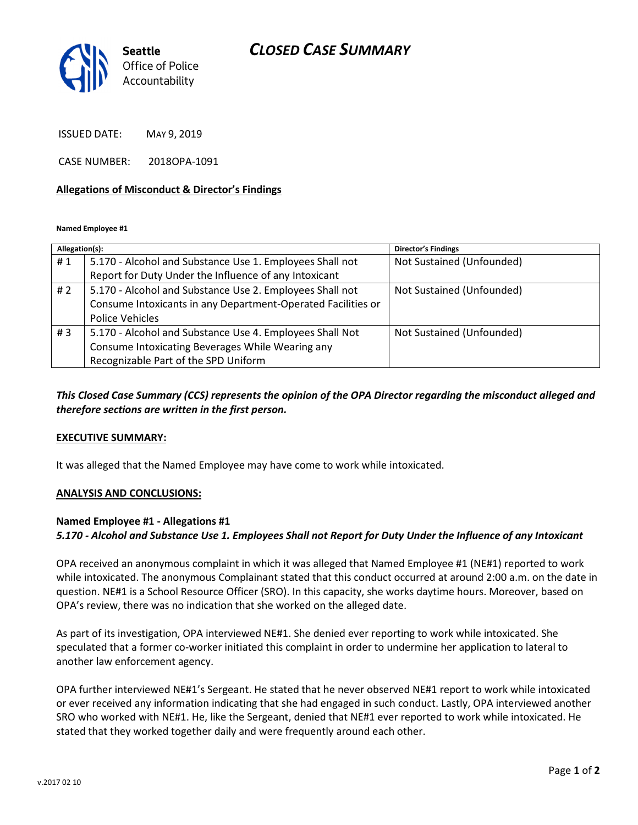# CLOSED CASE SUMMARY



ISSUED DATE: MAY 9, 2019

CASE NUMBER: 2018OPA-1091

#### Allegations of Misconduct & Director's Findings

Named Employee #1

| Allegation(s): |                                                              | <b>Director's Findings</b> |
|----------------|--------------------------------------------------------------|----------------------------|
| #1             | 5.170 - Alcohol and Substance Use 1. Employees Shall not     | Not Sustained (Unfounded)  |
|                | Report for Duty Under the Influence of any Intoxicant        |                            |
| #2             | 5.170 - Alcohol and Substance Use 2. Employees Shall not     | Not Sustained (Unfounded)  |
|                | Consume Intoxicants in any Department-Operated Facilities or |                            |
|                | Police Vehicles                                              |                            |
| #3             | 5.170 - Alcohol and Substance Use 4. Employees Shall Not     | Not Sustained (Unfounded)  |
|                | Consume Intoxicating Beverages While Wearing any             |                            |
|                | Recognizable Part of the SPD Uniform                         |                            |
|                |                                                              |                            |

## This Closed Case Summary (CCS) represents the opinion of the OPA Director regarding the misconduct alleged and therefore sections are written in the first person.

#### EXECUTIVE SUMMARY:

It was alleged that the Named Employee may have come to work while intoxicated.

#### ANALYSIS AND CONCLUSIONS:

### Named Employee #1 - Allegations #1

### 5.170 - Alcohol and Substance Use 1. Employees Shall not Report for Duty Under the Influence of any Intoxicant

OPA received an anonymous complaint in which it was alleged that Named Employee #1 (NE#1) reported to work while intoxicated. The anonymous Complainant stated that this conduct occurred at around 2:00 a.m. on the date in question. NE#1 is a School Resource Officer (SRO). In this capacity, she works daytime hours. Moreover, based on OPA's review, there was no indication that she worked on the alleged date.

As part of its investigation, OPA interviewed NE#1. She denied ever reporting to work while intoxicated. She speculated that a former co-worker initiated this complaint in order to undermine her application to lateral to another law enforcement agency.

OPA further interviewed NE#1's Sergeant. He stated that he never observed NE#1 report to work while intoxicated or ever received any information indicating that she had engaged in such conduct. Lastly, OPA interviewed another SRO who worked with NE#1. He, like the Sergeant, denied that NE#1 ever reported to work while intoxicated. He stated that they worked together daily and were frequently around each other.